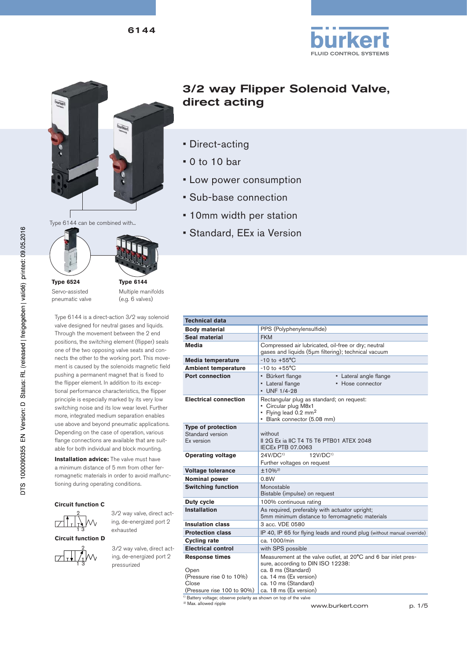



Type 6144 can be combined with...



**Type 6524** Servo-assisted pneumatic valve

**Type 6144** Multiple manifolds (e.g. 6 valves)

Type 6144 is a direct-action 3/2 way solenoid valve designed for neutral gases and liquids. Through the movement between the 2 end positions, the switching element (flipper) seals one of the two opposing valve seats and connects the other to the working port. This movement is caused by the solenoids magnetic field pushing a permanent magnet that is fixed to the flipper element. In addition to its exceptional performance characteristics, the flipper principle is especially marked by its very low switching noise and its low wear level. Further more, integrated medium separation enables use above and beyond pneumatic applications. Depending on the case of operation, various flange connections are available that are suitable for both individual and block mounting.

**Installation advice:** The valve must have a minimum distance of 5 mm from other ferromagnetic materials in order to avoid malfunctioning during operating conditions.

#### **Circuit function C**



**Circuit function D**



3/2 way valve, direct acting, de-energized port 2 exhausted

3/2 way valve, direct acting, de-energized port 2 pressurized

# 3/2 way Flipper Solenoid Valve, direct acting

- Direct-acting
- 0 to 10 bar
- Low power consumption
- Sub-base connection
- 10mm width per station
- Standard, EEx ia Version

| <b>Technical data</b>                                       |                                                                                                                                                      |
|-------------------------------------------------------------|------------------------------------------------------------------------------------------------------------------------------------------------------|
| <b>Body material</b>                                        | PPS (Polyphenylensulfide)                                                                                                                            |
| Seal material                                               | <b>FKM</b>                                                                                                                                           |
| Media                                                       | Compressed air lubricated, oil-free or dry; neutral<br>gases and liquids (5µm filtering); technical vacuum                                           |
| <b>Media temperature</b>                                    | $-10$ to $+55^{\circ}$ C                                                                                                                             |
| <b>Ambient temperature</b>                                  | $-10$ to $+55^{\circ}$ C                                                                                                                             |
| <b>Port connection</b>                                      | • Bürkert flange<br>• Lateral angle flange<br>• Hose connector<br>• Lateral flange<br>· UNF 1/4-28                                                   |
| <b>Electrical connection</b>                                | Rectangular plug as standard; on request:<br>• Circular plug M8x1<br>• Flying lead 0.2 mm <sup>2</sup><br>• Blank connector (5.08 mm)                |
| <b>Type of protection</b><br>Standard version<br>Ex version | without<br>II 2G Ex ia IIC T4 T5 T6 PTB01 ATEX 2048<br><b>IECEx PTB 07.0063</b>                                                                      |
| <b>Operating voltage</b>                                    | 24V/DC <sup>1</sup><br>12V/DC <sup>1</sup><br>Further voltages on request                                                                            |
| <b>Voltage tolerance</b>                                    | $±10\%^{2}$                                                                                                                                          |
| <b>Nominal power</b>                                        | 0.8W                                                                                                                                                 |
| <b>Switching function</b>                                   | Monostable<br>Bistable (impulse) on request                                                                                                          |
| Duty cycle                                                  | 100% continuous rating                                                                                                                               |
| <b>Installation</b>                                         | As required, preferably with actuator upright;<br>5mm minimum distance to ferromagnetic materials                                                    |
| <b>Insulation class</b>                                     | 3 acc. VDE 0580                                                                                                                                      |
| <b>Protection class</b>                                     | IP 40, IP 65 for flying leads and round plug (without manual override)                                                                               |
| <b>Cycling rate</b>                                         | ca. 1000/min                                                                                                                                         |
| <b>Electrical control</b>                                   | with SPS possible                                                                                                                                    |
| <b>Response times</b><br>Open<br>(Pressure rise 0 to 10%)   | Measurement at the valve outlet, at 20°C and 6 bar inlet pres-<br>sure, according to DIN ISO 12238:<br>ca. 8 ms (Standard)<br>ca. 14 ms (Ex version) |
| Close<br>(Pressure rise 100 to 90%)                         | ca. 10 ms (Standard)<br>ca. 18 ms (Ex version)                                                                                                       |

<sup>1)</sup> Battery voltage; observe polarity as shown on top of the valve

2) Max. allowed ripple

www.burkert.com p. 1/5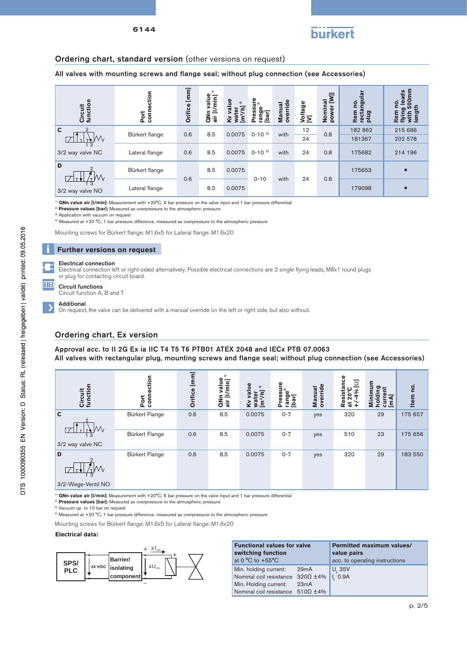

### Ordering chart, standard version (other versions on request)

All valves with mounting screws and flange seal; without plug connection (see Accessories)

| $\mathbf{r}$<br>Circuit<br>function | ction<br>conn<br>Port | [mm]<br>Orifice | ω<br>$\overline{m}$<br>4<br>ä١<br>d | Φ<br>$\widehat{\ast}$<br>ś<br>$\tilde{\mathbf{r}}$ | Ō<br>≂<br>ౚ<br>စ္ | ω<br>ರ<br>Manu<br>overri | Voltage<br>[V] | ₹<br>ಕ<br>Nomi<br>powe | ಕಾ<br><b>o</b><br>cta<br>plug | ads<br>0<br>о<br>o. |
|-------------------------------------|-----------------------|-----------------|-------------------------------------|----------------------------------------------------|-------------------|--------------------------|----------------|------------------------|-------------------------------|---------------------|
| $\mathbf c$                         | Bürkert flange        | 0.6             | 8.5                                 | 0.0075                                             | $0 - 10^{-3}$     | with                     | 12             | 0.8                    | 182 862                       | 215 686             |
| Μv<br>-3                            |                       |                 |                                     |                                                    |                   |                          | 24             |                        | 181367                        | 202 578             |
| 3/2 way valve NC                    | Lateral flange        | 0.6             | 8.5                                 | 0.0075                                             | $0-10^{3}$        | with                     | 24             | 0.8                    | 175682                        | 214 196             |
| D<br>W                              | Bürkert flange        |                 | 8.5                                 | 0.0075                                             |                   |                          |                |                        | 175653                        | ٠                   |
| 3/2 way valve NO                    | Lateral flange        | 0.6             | 8.5                                 | 0.0075                                             | $0 - 10$          | with                     | 24             | 0.8                    | 179098                        | п                   |

1) **QNn value air [l/min]:** Measurement with +20°C, 6 bar pressure on the valve input and 1 bar pressure differential

2) **Pressure values [bar]:** Measured as overpressure to the atmospheric pressure

Application with vacuum on request

4) Measured at +20 °C, 1 bar pressure difference, measured as overpressure to the atmospheric pressure

Mounting screws for Bürkert flange: M1.6x5 for Lateral flange: M1.6x20

#### **Further versions on request**

#### Electrical connection

Electrical connection left or right-sided alternatively. Possible electrical connections are 2 single flying leads, M8x1 round plugs or plug for contacting circuit board.

Circuit functions Circuit function A, B and T

#### Additional

田田

On request, the valve can be delivered with a manual override on the left or right side, but also without.

### Ordering chart, Ex version

Approval acc. to II 2G Ex ia IIC T4 T5 T6 PTB01 ATEX 2048 and IECx PTB 07.0063 All valves with rectangular plug, mounting screws and flange seal; without plug connection (see Accessories)

| Circuit<br>functio                 | ction<br>conn<br>Port | $[mm] % \begin{minipage}[b]{0.4\linewidth} \centering \includegraphics[width=\linewidth]{images/STN10001.jpg} \caption{The image shows the number of different models. % \label{fig:STN00002} \end{minipage} \vspace{0.05in} \label{fig:STN00002}$<br>Orifice | Φ<br>min]<br>ω,<br>$\bar{\vec{a}}$ | <u>e</u><br>$\widehat{\mathbf{f}}$<br>Ξ<br>Γā<br>$\overline{\mathbf{v}}$<br>g<br>E | ⊐ ล<br>۵۵<br>ëδ<br>rang<br>[bar] | ride<br>ā<br>Manu<br>overn | sistance<br>$\overline{\Xi}$<br>ပ<br>4%<br>$20^{\circ}$<br>ω<br>œ<br>$\overline{\omega}$ | ε<br>ದ ⊷<br>昆目<br>Σ<br>÷. | ρ.<br><b>Item</b> |
|------------------------------------|-----------------------|---------------------------------------------------------------------------------------------------------------------------------------------------------------------------------------------------------------------------------------------------------------|------------------------------------|------------------------------------------------------------------------------------|----------------------------------|----------------------------|------------------------------------------------------------------------------------------|---------------------------|-------------------|
| $\mathbf c$<br>$\mathfrak{D}$<br>W | Bürkert Flange        | 0.6                                                                                                                                                                                                                                                           | 8.5                                | 0.0075                                                                             | $0 - 7$                          | yes                        | 320                                                                                      | 29                        | 175 657           |
| $\overline{3}$<br>3/2 way valve NC | <b>Bürkert Flange</b> | 0.6                                                                                                                                                                                                                                                           | 8.5                                | 0.0075                                                                             | $0 - 7$                          | yes                        | 510                                                                                      | 23                        | 175 656           |
| D                                  | <b>Bürkert Flange</b> | 0.6                                                                                                                                                                                                                                                           | 8.5                                | 0.0075                                                                             | $0 - 7$                          | yes                        | 320                                                                                      | 29                        | 183 550           |
| 3/2-Wege-Ventil NO                 |                       |                                                                                                                                                                                                                                                               |                                    |                                                                                    |                                  |                            |                                                                                          |                           |                   |

<sup>1)</sup> **QNn value air [I/min]:** Measurement with +20°C, 6 bar pressure on the valve input and 1 bar pressure differential

<sup>2)</sup> Pressure values [bar]: Measured as overpressure to the atmospheric pressure

3) Vacuum up to 10 bar on request

4) Measured at +20 °C, 1 bar pressure difference, measured as overpressure to the atmospheric pressure

Mounting screws for Bürkert flange: M1.6x5 for Lateral flange: M1.6x20

#### **Electrical data:**



| <b>Functional values for valve</b><br>switching function<br>at 0 $^{\circ}$ C to +55 $^{\circ}$ C |      | <b>Permitted maximum values/</b><br>value pairs<br>acc. to operating instructions |  |  |
|---------------------------------------------------------------------------------------------------|------|-----------------------------------------------------------------------------------|--|--|
| Min. holding current:<br>Nominal coil resistance $320\Omega \pm 4\%$                              | 29mA | U. 35V<br>I. 0.9A                                                                 |  |  |
| Min. Holding current:<br>Nominal coil resistance $510\Omega \pm 4\%$                              | 23mA |                                                                                   |  |  |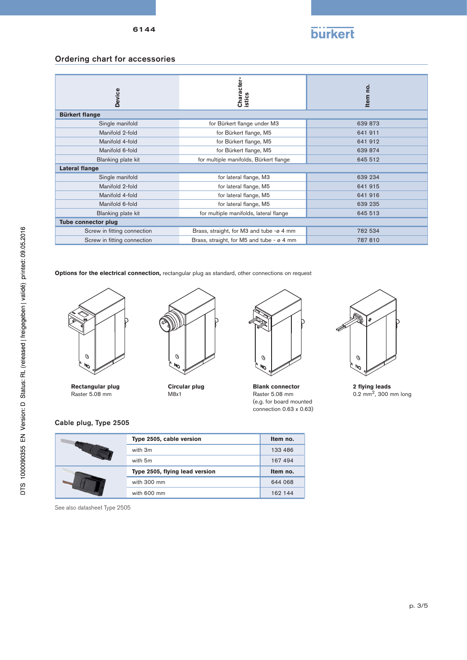

## Ordering chart for accessories

| Device                      | Character<br>istics                       | <u>o</u><br><b>Item</b> |
|-----------------------------|-------------------------------------------|-------------------------|
| <b>Bürkert flange</b>       |                                           |                         |
| Single manifold             | for Bürkert flange under M3               | 639 873                 |
| Manifold 2-fold             | for Bürkert flange, M5                    | 641 911                 |
| Manifold 4-fold             | for Bürkert flange, M5                    | 641 912                 |
| Manifold 6-fold             | for Bürkert flange, M5                    | 639 874                 |
| Blanking plate kit          | for multiple manifolds, Bürkert flange    | 645 512                 |
| Lateral flange              |                                           |                         |
| Single manifold             | for lateral flange, M3                    | 639 234                 |
| Manifold 2-fold             | for lateral flange, M5                    | 641 915                 |
| Manifold 4-fold             | for lateral flange, M5                    | 641 916                 |
| Manifold 6-fold             | for lateral flange, M5                    | 639 235                 |
| Blanking plate kit          | for multiple manifolds, lateral flange    | 645 513                 |
| <b>Tube connector plug</b>  |                                           |                         |
| Screw in fitting connection | Brass, straight, for M3 and tube -ø 4 mm  | 782 534                 |
| Screw in fitting connection | Brass, straight, for M5 and tube - ø 4 mm | 787 810                 |

**Options for the electrical connection, rectangular plug as standard, other connections on request** 



**Rectangular plug** Raster 5.08 mm



**Circular plug** M8x1



**Blank connector** Raster 5.08 mm (e.g. for board mounted connection 0.63 x 0.63)



**2 flying leads**<br>0.2 mm<sup>2</sup>, 300 mm long

## Cable plug, Type 2505

|  | Type 2505, cable version       | Item no. |
|--|--------------------------------|----------|
|  | with 3m                        | 133 486  |
|  | with 5m                        | 167 494  |
|  | Type 2505, flying lead version |          |
|  |                                | Item no. |
|  | with 300 mm                    | 644 068  |

See also datasheet Type 2505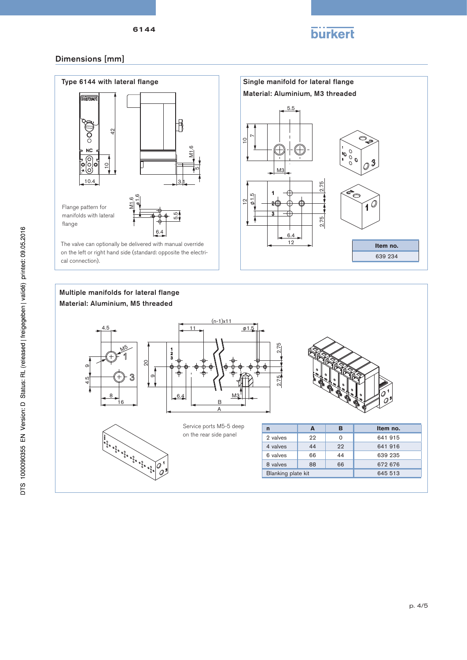

## Dimensions [mm]



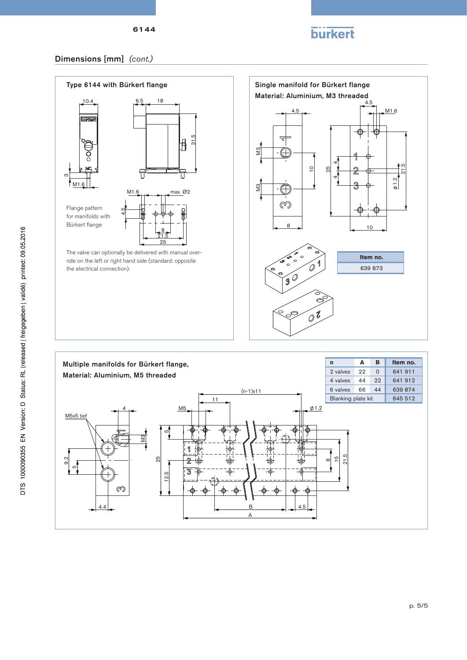

12.5

5

1  $\overline{2}$  $\overline{3}$ 

¢

25

M3

4.4

ത

 9.2 5

## Dimensions [mm] *(cont.)*



A

B 4.5

 21.5  $^{10}$  $\infty$